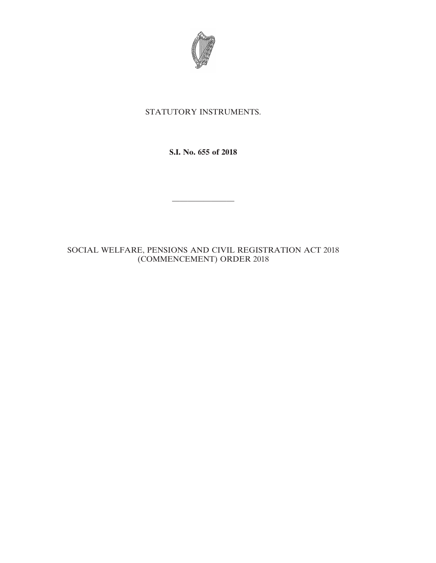

## STATUTORY INSTRUMENTS.

**S.I. No. 655 of 2018**

————————

SOCIAL WELFARE, PENSIONS AND CIVIL REGISTRATION ACT 2018 (COMMENCEMENT) ORDER 2018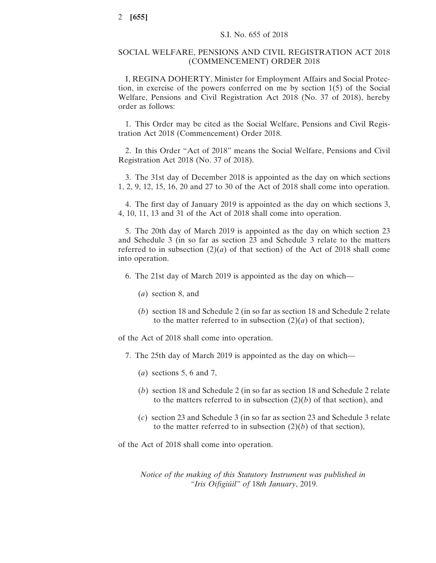## SOCIAL WELFARE, PENSIONS AND CIVIL REGISTRATION ACT 2018 (COMMENCEMENT) ORDER 2018

I, REGINA DOHERTY, Minister for Employment Affairs and Social Protection, in exercise of the powers conferred on me by section 1(5) of the Social Welfare, Pensions and Civil Registration Act 2018 (No. 37 of 2018), hereby order as follows:

1. This Order may be cited as the Social Welfare, Pensions and Civil Registration Act 2018 (Commencement) Order 2018.

2. In this Order "Act of 2018" means the Social Welfare, Pensions and Civil Registration Act 2018 (No. 37 of 2018).

3. The 31st day of December 2018 is appointed as the day on which sections 1, 2, 9, 12, 15, 16, 20 and 27 to 30 of the Act of 2018 shall come into operation.

4. The first day of January 2019 is appointed as the day on which sections 3, 4, 10, 11, 13 and 31 of the Act of 2018 shall come into operation.

5. The 20th day of March 2019 is appointed as the day on which section 23 and Schedule 3 (in so far as section 23 and Schedule 3 relate to the matters referred to in subsection  $(2)(a)$  of that section) of the Act of 2018 shall come into operation.

- 6. The 21st day of March 2019 is appointed as the day on which—
	- (*a*) section 8, and
	- (*b*) section 18 and Schedule 2 (in so far as section 18 and Schedule 2 relate to the matter referred to in subsection  $(2)(a)$  of that section),

of the Act of 2018 shall come into operation.

- 7. The 25th day of March 2019 is appointed as the day on which—
	- (*a*) sections 5, 6 and 7,
	- (*b*) section 18 and Schedule 2 (in so far as section 18 and Schedule 2 relate to the matters referred to in subsection  $(2)(b)$  of that section), and
	- (*c*) section 23 and Schedule 3 (in so far as section 23 and Schedule 3 relate to the matter referred to in subsection  $(2)(b)$  of that section),

of the Act of 2018 shall come into operation.

*Notice of the making of this Statutory Instrument was published in "Iris Oifigiúil" of* 18*th January*, 2019.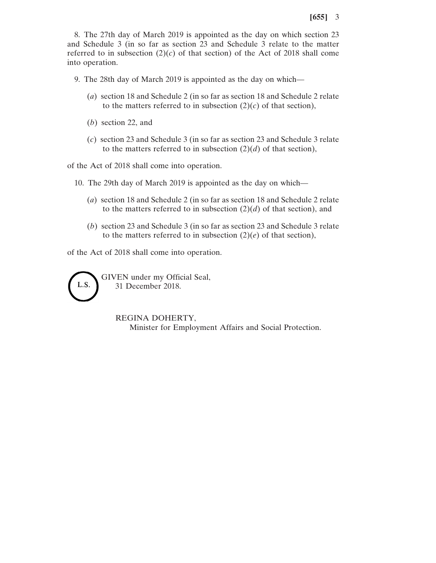8. The 27th day of March 2019 is appointed as the day on which section 23 and Schedule 3 (in so far as section 23 and Schedule 3 relate to the matter referred to in subsection  $(2)(c)$  of that section) of the Act of 2018 shall come into operation.

9. The 28th day of March 2019 is appointed as the day on which—

- (*a*) section 18 and Schedule 2 (in so far as section 18 and Schedule 2 relate to the matters referred to in subsection  $(2)(c)$  of that section),
- (*b*) section 22, and
- (*c*) section 23 and Schedule 3 (in so far as section 23 and Schedule 3 relate to the matters referred to in subsection  $(2)(d)$  of that section),

of the Act of 2018 shall come into operation.

- 10. The 29th day of March 2019 is appointed as the day on which—
	- (*a*) section 18 and Schedule 2 (in so far as section 18 and Schedule 2 relate to the matters referred to in subsection  $(2)(d)$  of that section), and
	- (*b*) section 23 and Schedule 3 (in so far as section 23 and Schedule 3 relate to the matters referred to in subsection  $(2)(e)$  of that section),

of the Act of 2018 shall come into operation.

L.S.

GIVEN under my Official Seal, 31 December 2018.

> REGINA DOHERTY, Minister for Employment Affairs and Social Protection.